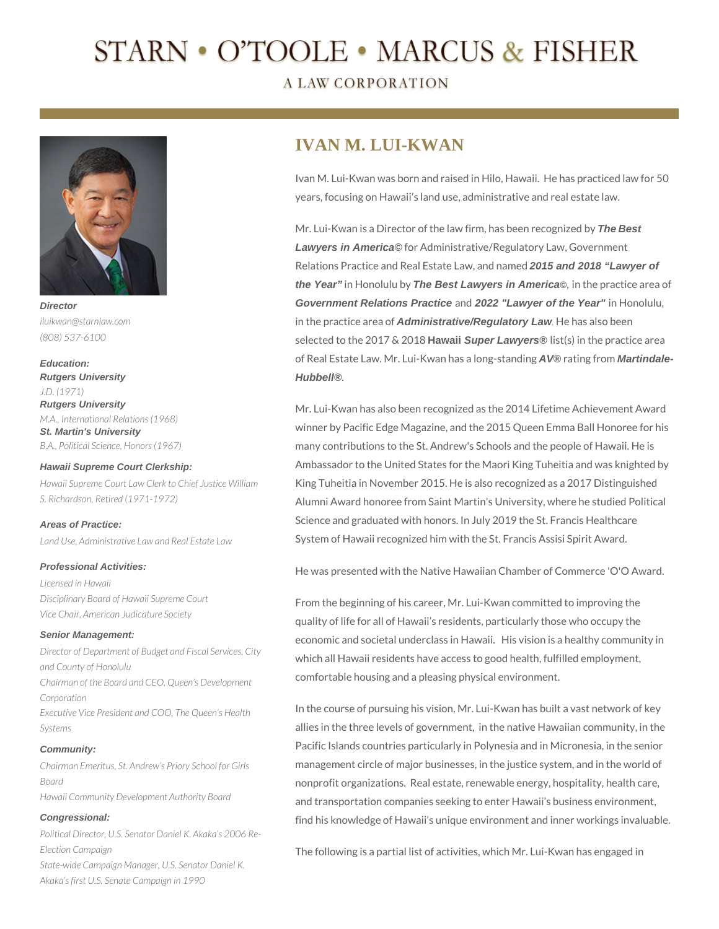# **STARN • O'TOOLE • MARCUS & FISHER**

**A LAW CORPORATION** 



**Director** *iluikwan@starnlaw.com (808) 537-6100*

**Education: Rutgers University** *J.D. (1971)* **Rutgers University** *M.A., International Relations (1968)* **St. Martin's University** *B.A., Political Science, Honors (1967)*

*S. Richardson, Retired (1971-1972)*

**Hawaii Supreme Court Clerkship:** *Hawaii Supreme Court Law Clerk to Chief Justice William* 

**Areas of Practice:**

*Land Use, Administrative Law and Real Estate Law*

#### **Professional Activities:**

*Licensed in Hawaii Disciplinary Board of Hawaii Supreme Court Vice Chair, American Judicature Society*

#### **Senior Management:**

*Director of Department of Budget and Fiscal Services, City and County of Honolulu Chairman of the Board and CEO, Queen's Development Corporation Executive Vice President and COO, The Queen's Health Systems*

#### **Community:**

*Chairman Emeritus, St. Andrew's Priory School for Girls Board Hawaii Community Development Authority Board*

#### **Congressional:**

*Political Director, U.S. Senator Daniel K. Akaka's 2006 Re-Election Campaign State-wide Campaign Manager, U.S. Senator Daniel K. Akaka's first U.S. Senate Campaign in 1990*

# **IVAN M. LUI-KWAN**

Ivan M. Lui-Kwan was born and raised in Hilo, Hawaii. He has practiced law for 50 years, focusing on Hawaii's land use, administrative and real estate law.

Mr. Lui-Kwan is a Director of the law firm, has been recognized by **The Best Lawyers in America©** for Administrative/Regulatory Law, Government Relations Practice and Real Estate Law, and named **2015 and 2018 "Lawyer of the Year"** in Honolulu by **The Best Lawyers in America©**, in the practice area of **Government Relations Practice** and **2022 "Lawyer of the Year"** in Honolulu, in the practice area of **Administrative/Regulatory Law***.* He has also been selected to the 2017 & 2018 **Hawaii Super Lawyers®** list(s) in the practice area of Real Estate Law. Mr. Lui-Kwan has a long-standing **AV®** rating from **Martindale-Hubbell®**.

Mr. Lui-Kwan has also been recognized as the 2014 Lifetime Achievement Award winner by Pacific Edge Magazine, and the 2015 Queen Emma Ball Honoree for his many contributions to the St. Andrew's Schools and the people of Hawaii. He is Ambassador to the United States for the Maori King Tuheitia and was knighted by King Tuheitia in November 2015. He is also recognized as a 2017 Distinguished Alumni Award honoree from Saint Martin's University, where he studied Political Science and graduated with honors. In July 2019 the St. Francis Healthcare System of Hawaii recognized him with the St. Francis Assisi Spirit Award.

He was presented with the Native Hawaiian Chamber of Commerce 'O'O Award.

From the beginning of his career, Mr. Lui-Kwan committed to improving the quality of life for all of Hawaii's residents, particularly those who occupy the economic and societal underclass in Hawaii. His vision is a healthy community in which all Hawaii residents have access to good health, fulfilled employment, comfortable housing and a pleasing physical environment.

In the course of pursuing his vision, Mr. Lui-Kwan has built a vast network of key allies in the three levels of government, in the native Hawaiian community, in the Pacific Islands countries particularly in Polynesia and in Micronesia, in the senior management circle of major businesses, in the justice system, and in the world of nonprofit organizations. Real estate, renewable energy, hospitality, health care, and transportation companies seeking to enter Hawaii's business environment, find his knowledge of Hawaii's unique environment and inner workings invaluable.

The following is a partial list of activities, which Mr. Lui-Kwan has engaged in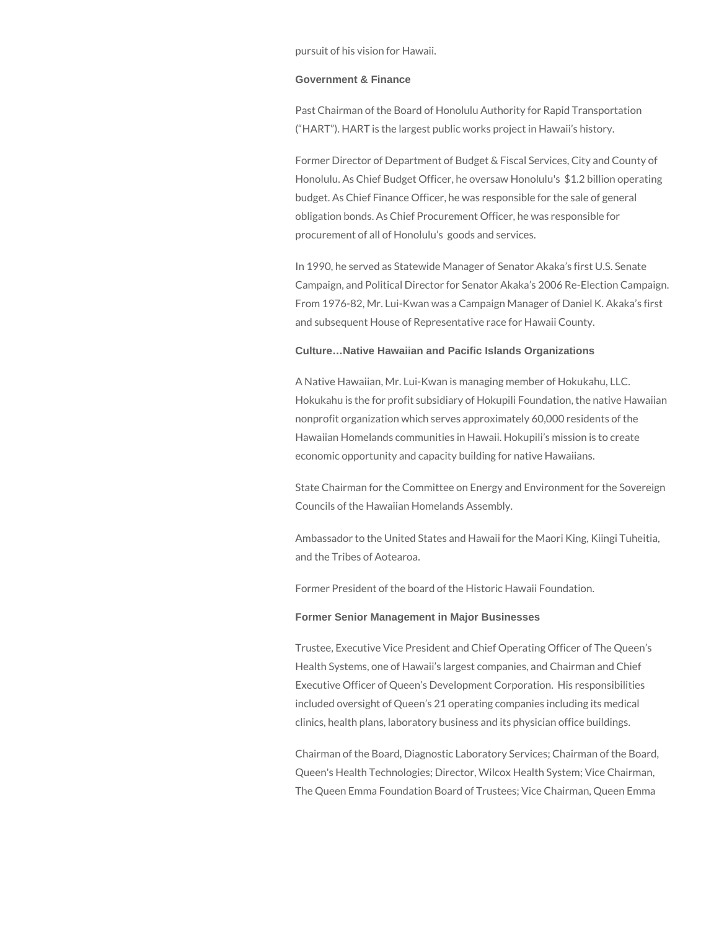pursuit of his vision for Hawaii.

#### **Government & Finance**

Past Chairman of the Board of Honolulu Authority for Rapid Transportation ("HART"). HART is the largest public works project in Hawaii's history.

Former Director of Department of Budget & Fiscal Services, City and County of Honolulu. As Chief Budget Officer, he oversaw Honolulu's \$1.2 billion operating budget. As Chief Finance Officer, he was responsible for the sale of general obligation bonds. As Chief Procurement Officer, he was responsible for procurement of all of Honolulu's goods and services.

In 1990, he served as Statewide Manager of Senator Akaka's first U.S. Senate Campaign, and Political Director for Senator Akaka's 2006 Re-Election Campaign. From 1976-82, Mr. Lui-Kwan was a Campaign Manager of Daniel K. Akaka's first and subsequent House of Representative race for Hawaii County.

#### **Culture…Native Hawaiian and Pacific Islands Organizations**

A Native Hawaiian, Mr. Lui-Kwan is managing member of Hokukahu, LLC. Hokukahu is the for profit subsidiary of Hokupili Foundation, the native Hawaiian nonprofit organization which serves approximately 60,000 residents of the Hawaiian Homelands communities in Hawaii. Hokupili's mission is to create economic opportunity and capacity building for native Hawaiians.

State Chairman for the Committee on Energy and Environment for the Sovereign Councils of the Hawaiian Homelands Assembly.

Ambassador to the United States and Hawaii for the Maori King, Kiingi Tuheitia, and the Tribes of Aotearoa.

Former President of the board of the Historic Hawaii Foundation.

#### **Former Senior Management in Major Businesses**

Trustee, Executive Vice President and Chief Operating Officer of The Queen's Health Systems, one of Hawaii's largest companies, and Chairman and Chief Executive Officer of Queen's Development Corporation. His responsibilities included oversight of Queen's 21 operating companies including its medical clinics, health plans, laboratory business and its physician office buildings.

Chairman of the Board, Diagnostic Laboratory Services; Chairman of the Board, Queen's Health Technologies; Director, Wilcox Health System; Vice Chairman, The Queen Emma Foundation Board of Trustees; Vice Chairman, Queen Emma